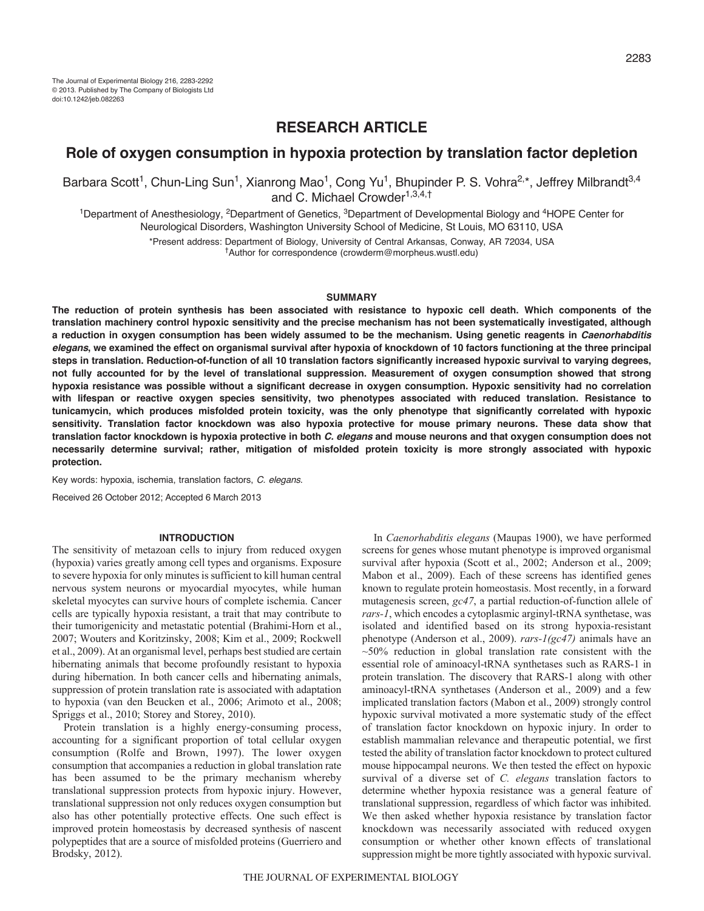# **RESEARCH ARTICLE**

# **Role of oxygen consumption in hypoxia protection by translation factor depletion**

Barbara Scott<sup>1</sup>, Chun-Ling Sun<sup>1</sup>, Xianrong Mao<sup>1</sup>, Cong Yu<sup>1</sup>, Bhupinder P. S. Vohra<sup>2,\*</sup>, Jeffrey Milbrandt<sup>3,4</sup> and C. Michael Crowder<sup>1,3,4,†</sup>

<sup>1</sup>Department of Anesthesiology, <sup>2</sup>Department of Genetics, <sup>3</sup>Department of Developmental Biology and <sup>4</sup>HOPE Center for Neurological Disorders, Washington University School of Medicine, St Louis, MO 63110, USA

> \*Present address: Department of Biology, University of Central Arkansas, Conway, AR 72034, USA †Author for correspondence (crowderm@morpheus.wustl.edu)

#### **SUMMARY**

**The reduction of protein synthesis has been associated with resistance to hypoxic cell death. Which components of the translation machinery control hypoxic sensitivity and the precise mechanism has not been systematically investigated, although a reduction in oxygen consumption has been widely assumed to be the mechanism. Using genetic reagents in** *Caenorhabditis elegans***, we examined the effect on organismal survival after hypoxia of knockdown of 10 factors functioning at the three principal steps in translation. Reduction-of-function of all 10 translation factors significantly increased hypoxic survival to varying degrees, not fully accounted for by the level of translational suppression. Measurement of oxygen consumption showed that strong hypoxia resistance was possible without a significant decrease in oxygen consumption. Hypoxic sensitivity had no correlation with lifespan or reactive oxygen species sensitivity, two phenotypes associated with reduced translation. Resistance to tunicamycin, which produces misfolded protein toxicity, was the only phenotype that significantly correlated with hypoxic sensitivity. Translation factor knockdown was also hypoxia protective for mouse primary neurons. These data show that translation factor knockdown is hypoxia protective in both** *C. elegans* **and mouse neurons and that oxygen consumption does not necessarily determine survival; rather, mitigation of misfolded protein toxicity is more strongly associated with hypoxic protection.**

Key words: hypoxia, ischemia, translation factors, *C. elegans*.

Received 26 October 2012; Accepted 6 March 2013

## **INTRODUCTION**

The sensitivity of metazoan cells to injury from reduced oxygen (hypoxia) varies greatly among cell types and organisms. Exposure to severe hypoxia for only minutes is sufficient to kill human central nervous system neurons or myocardial myocytes, while human skeletal myocytes can survive hours of complete ischemia. Cancer cells are typically hypoxia resistant, a trait that may contribute to their tumorigenicity and metastatic potential (Brahimi-Horn et al., 2007; Wouters and Koritzinsky, 2008; Kim et al., 2009; Rockwell et al., 2009). At an organismal level, perhaps best studied are certain hibernating animals that become profoundly resistant to hypoxia during hibernation. In both cancer cells and hibernating animals, suppression of protein translation rate is associated with adaptation to hypoxia (van den Beucken et al., 2006; Arimoto et al., 2008; Spriggs et al., 2010; Storey and Storey, 2010).

Protein translation is a highly energy-consuming process, accounting for a significant proportion of total cellular oxygen consumption (Rolfe and Brown, 1997). The lower oxygen consumption that accompanies a reduction in global translation rate has been assumed to be the primary mechanism whereby translational suppression protects from hypoxic injury. However, translational suppression not only reduces oxygen consumption but also has other potentially protective effects. One such effect is improved protein homeostasis by decreased synthesis of nascent polypeptides that are a source of misfolded proteins (Guerriero and Brodsky, 2012).

In *Caenorhabditis elegans* (Maupas 1900), we have performed screens for genes whose mutant phenotype is improved organismal survival after hypoxia (Scott et al., 2002; Anderson et al., 2009; Mabon et al., 2009). Each of these screens has identified genes known to regulate protein homeostasis. Most recently, in a forward mutagenesis screen, *gc47*, a partial reduction-of-function allele of *rars-1*, which encodes a cytoplasmic arginyl-tRNA synthetase, was isolated and identified based on its strong hypoxia-resistant phenotype (Anderson et al., 2009). *rars-1(gc47)* animals have an  $~50\%$  reduction in global translation rate consistent with the essential role of aminoacyl-tRNA synthetases such as RARS-1 in protein translation. The discovery that RARS-1 along with other aminoacyl-tRNA synthetases (Anderson et al., 2009) and a few implicated translation factors (Mabon et al., 2009) strongly control hypoxic survival motivated a more systematic study of the effect of translation factor knockdown on hypoxic injury. In order to establish mammalian relevance and therapeutic potential, we first tested the ability of translation factor knockdown to protect cultured mouse hippocampal neurons. We then tested the effect on hypoxic survival of a diverse set of *C. elegans* translation factors to determine whether hypoxia resistance was a general feature of translational suppression, regardless of which factor was inhibited. We then asked whether hypoxia resistance by translation factor knockdown was necessarily associated with reduced oxygen consumption or whether other known effects of translational suppression might be more tightly associated with hypoxic survival.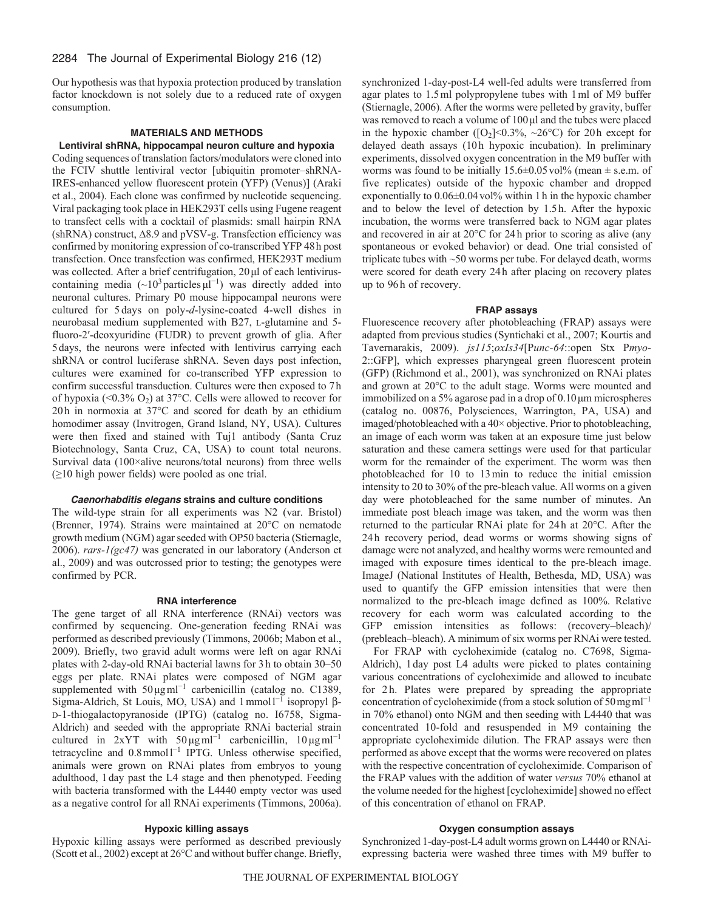Our hypothesis was that hypoxia protection produced by translation factor knockdown is not solely due to a reduced rate of oxygen consumption.

## **MATERIALS AND METHODS**

**Lentiviral shRNA, hippocampal neuron culture and hypoxia** Coding sequences of translation factors/modulators were cloned into the FCIV shuttle lentiviral vector [ubiquitin promoter–shRNA-IRES-enhanced yellow fluorescent protein (YFP) (Venus)] (Araki et al., 2004). Each clone was confirmed by nucleotide sequencing. Viral packaging took place in HEK293T cells using Fugene reagent to transfect cells with a cocktail of plasmids: small hairpin RNA (shRNA) construct, ∆8.9 and pVSV-g. Transfection efficiency was confirmed by monitoring expression of co-transcribed YFP 48h post transfection. Once transfection was confirmed, HEK293T medium was collected. After a brief centrifugation, 20μl of each lentiviruscontaining media  $({\sim}10^3 \text{ particles }\mu^{-1})$  was directly added into neuronal cultures. Primary P0 mouse hippocampal neurons were cultured for 5 days on poly-*d*-lysine-coated 4-well dishes in neurobasal medium supplemented with B27, L-glutamine and 5 fluoro-2′-deoxyuridine (FUDR) to prevent growth of glia. After 5days, the neurons were infected with lentivirus carrying each shRNA or control luciferase shRNA. Seven days post infection, cultures were examined for co-transcribed YFP expression to confirm successful transduction. Cultures were then exposed to 7h of hypoxia (<0.3%  $O_2$ ) at 37°C. Cells were allowed to recover for 20h in normoxia at 37°C and scored for death by an ethidium homodimer assay (Invitrogen, Grand Island, NY, USA). Cultures were then fixed and stained with Tuj1 antibody (Santa Cruz Biotechnology, Santa Cruz, CA, USA) to count total neurons. Survival data (100×alive neurons/total neurons) from three wells (≥10 high power fields) were pooled as one trial.

### *Caenorhabditis elegans* **strains and culture conditions**

The wild-type strain for all experiments was N2 (var. Bristol) (Brenner, 1974). Strains were maintained at 20°C on nematode growth medium (NGM) agar seeded with OP50 bacteria (Stiernagle, 2006). *rars-1(gc47)* was generated in our laboratory (Anderson et al., 2009) and was outcrossed prior to testing; the genotypes were confirmed by PCR.

## **RNA interference**

The gene target of all RNA interference (RNAi) vectors was confirmed by sequencing. One-generation feeding RNAi was performed as described previously (Timmons, 2006b; Mabon et al., 2009). Briefly, two gravid adult worms were left on agar RNAi plates with 2-day-old RNAi bacterial lawns for 3h to obtain 30–50 eggs per plate. RNAi plates were composed of NGM agar supplemented with  $50 \mu g$ ml<sup>-1</sup> carbenicillin (catalog no. C1389, Sigma-Aldrich, St Louis, MO, USA) and  $1$ mmol $1^{-1}$  isopropyl  $\beta$ -D-1-thiogalactopyranoside (IPTG) (catalog no. I6758, Sigma-Aldrich) and seeded with the appropriate RNAi bacterial strain cultured in 2xYT with  $50 \mu g$ ml<sup>-1</sup> carbenicillin, 10  $\mu g$ ml<sup>-1</sup> tetracycline and 0.8mmol<sup>1-1</sup> IPTG. Unless otherwise specified, animals were grown on RNAi plates from embryos to young adulthood, 1day past the L4 stage and then phenotyped. Feeding with bacteria transformed with the L4440 empty vector was used as a negative control for all RNAi experiments (Timmons, 2006a).

synchronized 1-day-post-L4 well-fed adults were transferred from agar plates to 1.5ml polypropylene tubes with 1ml of M9 buffer (Stiernagle, 2006). After the worms were pelleted by gravity, buffer was removed to reach a volume of 100μl and the tubes were placed in the hypoxic chamber ( $[O_2] < 0.3\%$ ,  $\sim 26$ °C) for 20h except for delayed death assays (10h hypoxic incubation). In preliminary experiments, dissolved oxygen concentration in the M9 buffer with worms was found to be initially  $15.6\pm0.05$  vol<sup>9</sup>% (mean  $\pm$  s.e.m. of five replicates) outside of the hypoxic chamber and dropped exponentially to  $0.06\pm0.04$  vol% within 1 h in the hypoxic chamber and to below the level of detection by 1.5h. After the hypoxic incubation, the worms were transferred back to NGM agar plates and recovered in air at 20°C for 24h prior to scoring as alive (any spontaneous or evoked behavior) or dead. One trial consisted of triplicate tubes with ~50 worms per tube. For delayed death, worms were scored for death every 24h after placing on recovery plates up to 96h of recovery.

#### **FRAP assays**

Fluorescence recovery after photobleaching (FRAP) assays were adapted from previous studies (Syntichaki et al., 2007; Kourtis and Tavernarakis, 2009). *js115*;*oxIs34*[P*unc-64*::open Stx P*myo*-2::GFP], which expresses pharyngeal green fluorescent protein (GFP) (Richmond et al., 2001), was synchronized on RNAi plates and grown at 20°C to the adult stage. Worms were mounted and immobilized on a 5% agarose pad in a drop of 0.10μm microspheres (catalog no. 00876, Polysciences, Warrington, PA, USA) and imaged/photobleached with a 40× objective. Prior to photobleaching, an image of each worm was taken at an exposure time just below saturation and these camera settings were used for that particular worm for the remainder of the experiment. The worm was then photobleached for 10 to 13min to reduce the initial emission intensity to 20 to 30% of the pre-bleach value. All worms on a given day were photobleached for the same number of minutes. An immediate post bleach image was taken, and the worm was then returned to the particular RNAi plate for 24h at 20°C. After the 24h recovery period, dead worms or worms showing signs of damage were not analyzed, and healthy worms were remounted and imaged with exposure times identical to the pre-bleach image. ImageJ (National Institutes of Health, Bethesda, MD, USA) was used to quantify the GFP emission intensities that were then normalized to the pre-bleach image defined as 100%. Relative recovery for each worm was calculated according to the GFP emission intensities as follows: (recovery–bleach)/ (prebleach–bleach). A minimum of six worms per RNAi were tested.

For FRAP with cycloheximide (catalog no. C7698, Sigma-Aldrich), 1day post L4 adults were picked to plates containing various concentrations of cycloheximide and allowed to incubate for 2h. Plates were prepared by spreading the appropriate concentration of cycloheximide (from a stock solution of 50 mg ml<sup>-1</sup> in 70% ethanol) onto NGM and then seeding with L4440 that was concentrated 10-fold and resuspended in M9 containing the appropriate cycloheximide dilution. The FRAP assays were then performed as above except that the worms were recovered on plates with the respective concentration of cycloheximide. Comparison of the FRAP values with the addition of water *versus* 70% ethanol at the volume needed for the highest [cycloheximide] showed no effect of this concentration of ethanol on FRAP.

# **Hypoxic killing assays**

Hypoxic killing assays were performed as described previously (Scott et al., 2002) except at 26°C and without buffer change. Briefly,

# **Oxygen consumption assays**

Synchronized 1-day-post-L4 adult worms grown on L4440 or RNAiexpressing bacteria were washed three times with M9 buffer to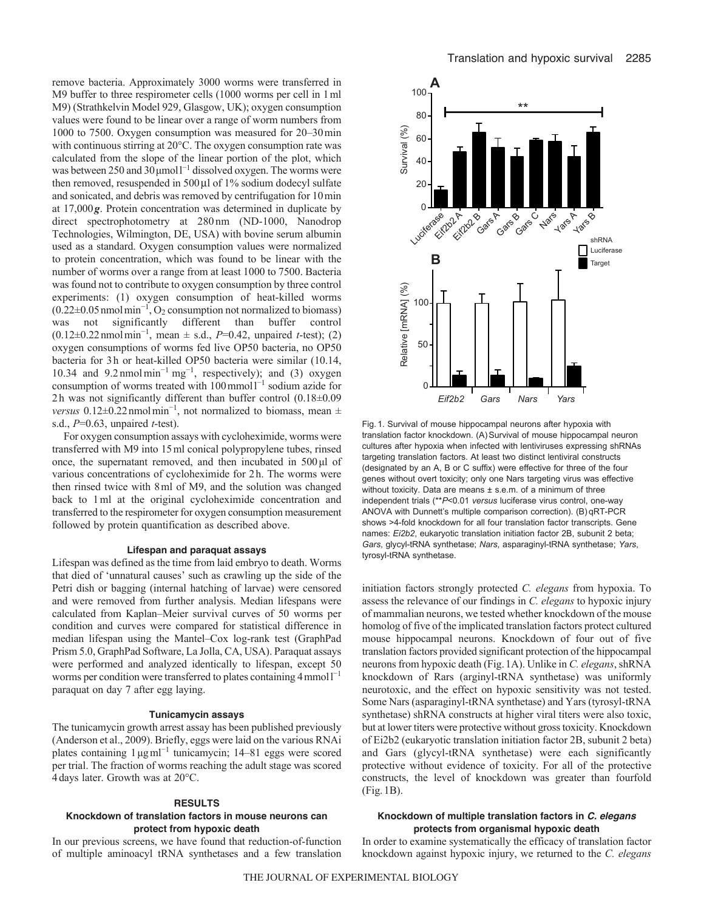remove bacteria. Approximately 3000 worms were transferred in M9 buffer to three respirometer cells (1000 worms per cell in 1ml M9) (Strathkelvin Model 929, Glasgow, UK); oxygen consumption values were found to be linear over a range of worm numbers from 1000 to 7500. Oxygen consumption was measured for 20–30min with continuous stirring at 20°C. The oxygen consumption rate was calculated from the slope of the linear portion of the plot, which was between 250 and 30  $\mu$ moll<sup>-1</sup> dissolved oxygen. The worms were then removed, resuspended in  $500 \mu$ l of 1% sodium dodecyl sulfate and sonicated, and debris was removed by centrifugation for 10min at 17,000*g*. Protein concentration was determined in duplicate by direct spectrophotometry at 280 nm (ND-1000, Nanodrop Technologies, Wilmington, DE, USA) with bovine serum albumin used as a standard. Oxygen consumption values were normalized to protein concentration, which was found to be linear with the number of worms over a range from at least 1000 to 7500. Bacteria was found not to contribute to oxygen consumption by three control experiments: (1) oxygen consumption of heat-killed worms (0.22±0.05nmolmin<sup>−</sup><sup>1</sup> , O2 consumption not normalized to biomass) was not significantly different than buffer control (0.12±0.22nmolmin<sup>−</sup><sup>1</sup> , mean ± s.d., *P*=0.42, unpaired *t*-test); (2) oxygen consumptions of worms fed live OP50 bacteria, no OP50 bacteria for 3h or heat-killed OP50 bacteria were similar (10.14, 10.34 and 9.2 nmolmin<sup>−</sup><sup>1</sup> mg<sup>−</sup><sup>1</sup> , respectively); and (3) oxygen consumption of worms treated with  $100$  mmol<sup>1-1</sup> sodium azide for 2h was not significantly different than buffer control (0.18±0.09 *versus* 0.12±0.22 nmolmin<sup>-1</sup>, not normalized to biomass, mean ± s.d., *P*=0.63, unpaired *t*-test).

For oxygen consumption assays with cycloheximide, worms were transferred with M9 into 15ml conical polypropylene tubes, rinsed once, the supernatant removed, and then incubated in 500μl of various concentrations of cycloheximide for 2h. The worms were then rinsed twice with 8ml of M9, and the solution was changed back to 1ml at the original cycloheximide concentration and transferred to the respirometer for oxygen consumption measurement followed by protein quantification as described above.

## **Lifespan and paraquat assays**

Lifespan was defined as the time from laid embryo to death. Worms that died of 'unnatural causes' such as crawling up the side of the Petri dish or bagging (internal hatching of larvae) were censored and were removed from further analysis. Median lifespans were calculated from Kaplan–Meier survival curves of 50 worms per condition and curves were compared for statistical difference in median lifespan using the Mantel–Cox log-rank test (GraphPad Prism 5.0, GraphPad Software, La Jolla, CA, USA). Paraquat assays were performed and analyzed identically to lifespan, except 50 worms per condition were transferred to plates containing 4 mmol<sup>1-1</sup> paraquat on day 7 after egg laying.

## **Tunicamycin assays**

The tunicamycin growth arrest assay has been published previously (Anderson et al., 2009). Briefly, eggs were laid on the various RNAi plates containing 1μgml<sup>−</sup><sup>1</sup> tunicamycin; 14–81 eggs were scored per trial. The fraction of worms reaching the adult stage was scored 4days later. Growth was at 20°C.

### **RESULTS**

# **Knockdown of translation factors in mouse neurons can protect from hypoxic death**

In our previous screens, we have found that reduction-of-function of multiple aminoacyl tRNA synthetases and a few translation



Fig. 1. Survival of mouse hippocampal neurons after hypoxia with translation factor knockdown. (A)Survival of mouse hippocampal neuron cultures after hypoxia when infected with lentiviruses expressing shRNAs targeting translation factors. At least two distinct lentiviral constructs (designated by an A, B or C suffix) were effective for three of the four genes without overt toxicity; only one Nars targeting virus was effective without toxicity. Data are means ± s.e.m. of a minimum of three independent trials (\*\**P*<0.01 *versus* luciferase virus control, one-way ANOVA with Dunnett's multiple comparison correction). (B) qRT-PCR shows >4-fold knockdown for all four translation factor transcripts. Gene names: *Ei2b2*, eukaryotic translation initiation factor 2B, subunit 2 beta; *Gars*, glycyl-tRNA synthetase; *Nars*, asparaginyl-tRNA synthetase; *Yars*, tyrosyl-tRNA synthetase.

initiation factors strongly protected *C. elegans* from hypoxia. To assess the relevance of our findings in *C. elegans* to hypoxic injury of mammalian neurons, we tested whether knockdown of the mouse homolog of five of the implicated translation factors protect cultured mouse hippocampal neurons. Knockdown of four out of five translation factors provided significant protection of the hippocampal neurons from hypoxic death (Fig.1A). Unlike in *C. elegans*, shRNA knockdown of Rars (arginyl-tRNA synthetase) was uniformly neurotoxic, and the effect on hypoxic sensitivity was not tested. Some Nars (asparaginyl-tRNA synthetase) and Yars (tyrosyl-tRNA synthetase) shRNA constructs at higher viral titers were also toxic, but at lower titers were protective without gross toxicity. Knockdown of Ei2b2 (eukaryotic translation initiation factor 2B, subunit 2 beta) and Gars (glycyl-tRNA synthetase) were each significantly protective without evidence of toxicity. For all of the protective constructs, the level of knockdown was greater than fourfold (Fig.1B).

## **Knockdown of multiple translation factors in** *C. elegans* **protects from organismal hypoxic death**

In order to examine systematically the efficacy of translation factor knockdown against hypoxic injury, we returned to the *C. elegans*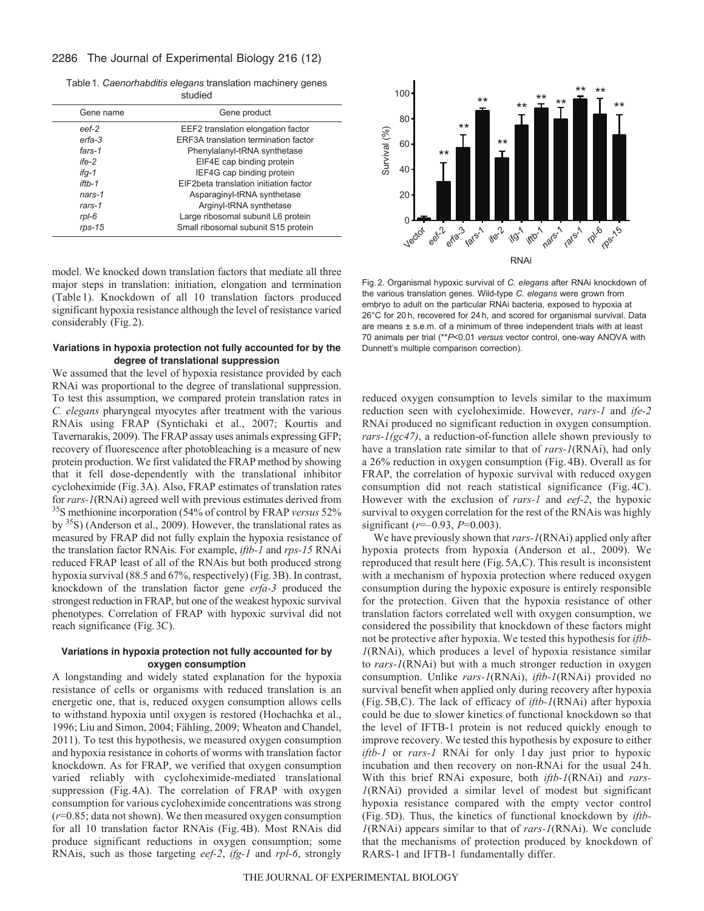# 2286 The Journal of Experimental Biology 216 (12)

Table1. *Caenorhabditis elegans* translation machinery genes studied

|           | Gene product                           |
|-----------|----------------------------------------|
| Gene name |                                        |
| eef-2     | EEF2 translation elongation factor     |
| erfa-3    | ERF3A translation termination factor   |
| fars-1    | Phenylalanyl-tRNA synthetase           |
| $ife-2$   | EIF4E cap binding protein              |
| ifq-1     | IEF4G cap binding protein              |
| $if$ th-1 | EIF2beta translation initiation factor |
| $nars-1$  | Asparaginyl-tRNA synthetase            |
| $rars-1$  | Arginyl-tRNA synthetase                |
| $rpl-6$   | Large ribosomal subunit L6 protein     |
| $rps-15$  | Small ribosomal subunit S15 protein    |

model. We knocked down translation factors that mediate all three major steps in translation: initiation, elongation and termination (Table 1). Knockdown of all 10 translation factors produced significant hypoxia resistance although the level of resistance varied considerably (Fig.2).

## **Variations in hypoxia protection not fully accounted for by the degree of translational suppression**

We assumed that the level of hypoxia resistance provided by each RNAi was proportional to the degree of translational suppression. To test this assumption, we compared protein translation rates in *C. elegans* pharyngeal myocytes after treatment with the various RNAis using FRAP (Syntichaki et al., 2007; Kourtis and Tavernarakis, 2009). The FRAP assay uses animals expressing GFP; recovery of fluorescence after photobleaching is a measure of new protein production. We first validated the FRAP method by showing that it fell dose-dependently with the translational inhibitor cycloheximide (Fig.3A). Also, FRAP estimates of translation rates for *rars-1*(RNAi) agreed well with previous estimates derived from 35S methionine incorporation (54% of control by FRAP *versus* 52% by 35S) (Anderson et al., 2009). However, the translational rates as measured by FRAP did not fully explain the hypoxia resistance of the translation factor RNAis. For example, *iftb-1* and *rps-15* RNAi reduced FRAP least of all of the RNAis but both produced strong hypoxia survival (88.5 and 67%, respectively) (Fig. 3B). In contrast, knockdown of the translation factor gene *erfa-3* produced the strongest reduction in FRAP, but one of the weakest hypoxic survival phenotypes. Correlation of FRAP with hypoxic survival did not reach significance (Fig.3C).

# **Variations in hypoxia protection not fully accounted for by oxygen consumption**

A longstanding and widely stated explanation for the hypoxia resistance of cells or organisms with reduced translation is an energetic one, that is, reduced oxygen consumption allows cells to withstand hypoxia until oxygen is restored (Hochachka et al., 1996; Liu and Simon, 2004; Fähling, 2009; Wheaton and Chandel, 2011). To test this hypothesis, we measured oxygen consumption and hypoxia resistance in cohorts of worms with translation factor knockdown. As for FRAP, we verified that oxygen consumption varied reliably with cycloheximide-mediated translational suppression (Fig.4A). The correlation of FRAP with oxygen consumption for various cycloheximide concentrations was strong (*r*=0.85; data not shown). We then measured oxygen consumption for all 10 translation factor RNAis (Fig. 4B). Most RNAis did produce significant reductions in oxygen consumption; some RNAis, such as those targeting *eef-2*, *ifg-1* and *rpl-6*, strongly



Fig. 2. Organismal hypoxic survival of *C. elegans* after RNAi knockdown of the various translation genes. Wild-type *C. elegans* were grown from embryo to adult on the particular RNAi bacteria, exposed to hypoxia at 26°C for 20 h, recovered for 24 h, and scored for organismal survival. Data are means ± s.e.m. of a minimum of three independent trials with at least 70 animals per trial (\*\**P*<0.01 *versus* vector control, one-way ANOVA with Dunnett's multiple comparison correction).

reduced oxygen consumption to levels similar to the maximum reduction seen with cycloheximide. However, *rars-1* and *ife-2* RNAi produced no significant reduction in oxygen consumption. *rars-1(gc47)*, a reduction-of-function allele shown previously to have a translation rate similar to that of *rars-1*(RNAi), had only a 26% reduction in oxygen consumption (Fig. 4B). Overall as for FRAP, the correlation of hypoxic survival with reduced oxygen consumption did not reach statistical significance (Fig. 4C). However with the exclusion of *rars-1* and *eef-2*, the hypoxic survival to oxygen correlation for the rest of the RNAis was highly significant (*r*=–0.93, *P*=0.003).

We have previously shown that *rars-1*(RNAi) applied only after hypoxia protects from hypoxia (Anderson et al., 2009). We reproduced that result here (Fig.5A,C). This result is inconsistent with a mechanism of hypoxia protection where reduced oxygen consumption during the hypoxic exposure is entirely responsible for the protection. Given that the hypoxia resistance of other translation factors correlated well with oxygen consumption, we considered the possibility that knockdown of these factors might not be protective after hypoxia. We tested this hypothesis for *iftb-1*(RNAi), which produces a level of hypoxia resistance similar to *rars-1*(RNAi) but with a much stronger reduction in oxygen consumption. Unlike *rars-1*(RNAi), *iftb-1*(RNAi) provided no survival benefit when applied only during recovery after hypoxia (Fig. 5B,C). The lack of efficacy of *iftb-1*(RNAi) after hypoxia could be due to slower kinetics of functional knockdown so that the level of IFTB-1 protein is not reduced quickly enough to improve recovery. We tested this hypothesis by exposure to either *iftb-1* or *rars-1* RNAi for only 1 day just prior to hypoxic incubation and then recovery on non-RNAi for the usual 24 h. With this brief RNAi exposure, both *iftb-1*(RNAi) and *rars-1*(RNAi) provided a similar level of modest but significant hypoxia resistance compared with the empty vector control (Fig. 5D). Thus, the kinetics of functional knockdown by *iftb-1*(RNAi) appears similar to that of *rars-1*(RNAi). We conclude that the mechanisms of protection produced by knockdown of RARS-1 and IFTB-1 fundamentally differ.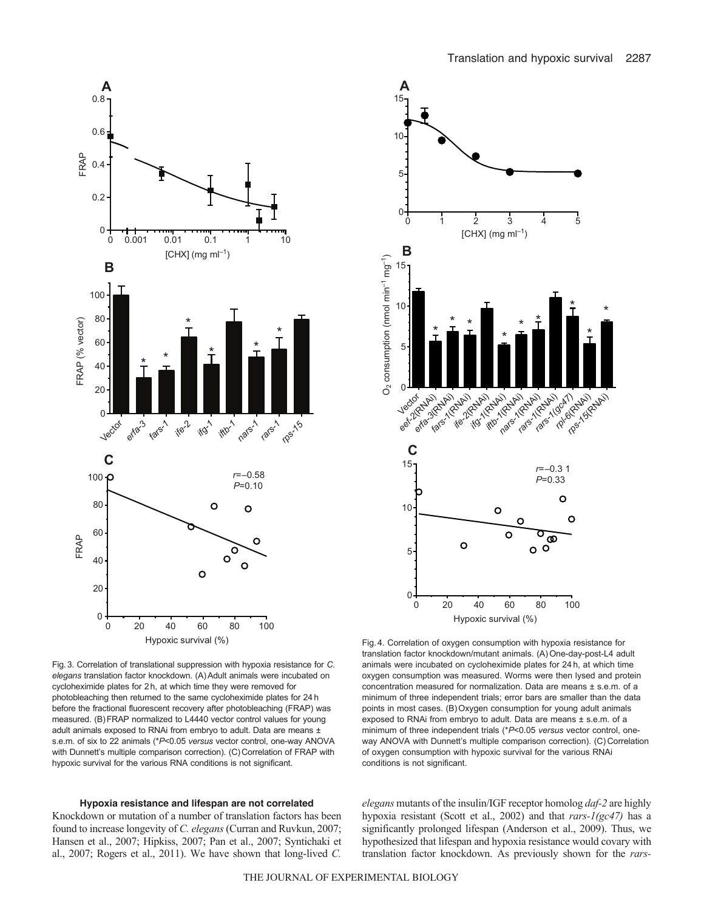

Fig.3. Correlation of translational suppression with hypoxia resistance for *C. elegans* translation factor knockdown. (A)Adult animals were incubated on cycloheximide plates for 2 h, at which time they were removed for photobleaching then returned to the same cycloheximide plates for 24 h before the fractional fluorescent recovery after photobleaching (FRAP) was measured. (B)FRAP normalized to L4440 vector control values for young adult animals exposed to RNAi from embryo to adult. Data are means  $\pm$ s.e.m. of six to 22 animals (\**P*<0.05 *versus* vector control, one-way ANOVA with Dunnett's multiple comparison correction). (C) Correlation of FRAP with hypoxic survival for the various RNA conditions is not significant.

# **Hypoxia resistance and lifespan are not correlated**

Knockdown or mutation of a number of translation factors has been found to increase longevity of *C. elegans* (Curran and Ruvkun, 2007; Hansen et al., 2007; Hipkiss, 2007; Pan et al., 2007; Syntichaki et al., 2007; Rogers et al., 2011). We have shown that long-lived *C.*



Hypoxic survival (%)

Fig. 4. Correlation of oxygen consumption with hypoxia resistance for translation factor knockdown/mutant animals. (A)One-day-post-L4 adult animals were incubated on cycloheximide plates for 24 h, at which time oxygen consumption was measured. Worms were then lysed and protein concentration measured for normalization. Data are means ± s.e.m. of a minimum of three independent trials; error bars are smaller than the data points in most cases. (B)Oxygen consumption for young adult animals exposed to RNAi from embryo to adult. Data are means ± s.e.m. of a minimum of three independent trials (\**P*<0.05 *versus* vector control, oneway ANOVA with Dunnett's multiple comparison correction). (C) Correlation of oxygen consumption with hypoxic survival for the various RNAi conditions is not significant.

*elegans* mutants of the insulin/IGF receptor homolog *daf-2* are highly hypoxia resistant (Scott et al., 2002) and that *rars-1(gc47)* has a significantly prolonged lifespan (Anderson et al., 2009). Thus, we hypothesized that lifespan and hypoxia resistance would covary with translation factor knockdown. As previously shown for the *rars-*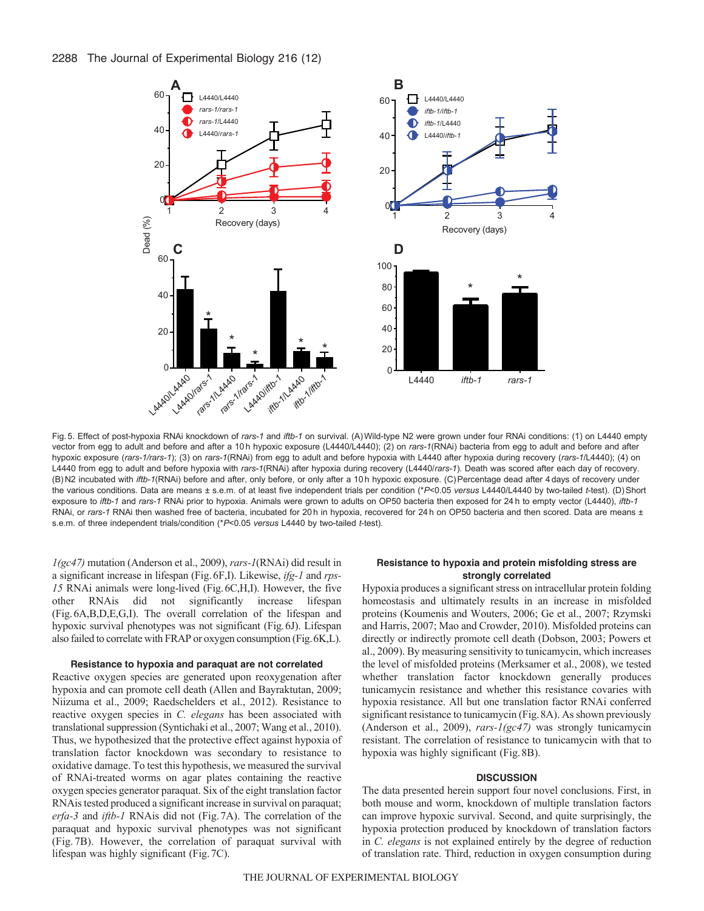

Fig. 5. Effect of post-hypoxia RNAi knockdown of *rars-1* and *iftb-1* on survival. (A)Wild-type N2 were grown under four RNAi conditions: (1) on L4440 empty vector from egg to adult and before and after a 10 h hypoxic exposure (L4440/L4440); (2) on *rars-1*(RNAi) bacteria from egg to adult and before and after hypoxic exposure (*rars-1/rars-1*); (3) on *rars-1*(RNAi) from egg to adult and before hypoxia with L4440 after hypoxia during recovery (*rars-1*/L4440); (4) on L4440 from egg to adult and before hypoxia with *rars-1*(RNAi) after hypoxia during recovery (L4440/*rars-1*). Death was scored after each day of recovery. (B) N2 incubated with *iftb-1*(RNAi) before and after, only before, or only after a 10 h hypoxic exposure. (C)Percentage dead after 4 days of recovery under the various conditions. Data are means ± s.e.m. of at least five independent trials per condition (\**P*<0.05 *versus* L4440/L4440 by two-tailed *t*-test). (D)Short exposure to *iftb-1* and *rars-1* RNAi prior to hypoxia. Animals were grown to adults on OP50 bacteria then exposed for 24 h to empty vector (L4440), *iftb-1* RNAi, or rars-1 RNAi then washed free of bacteria, incubated for 20 h in hypoxia, recovered for 24 h on OP50 bacteria and then scored. Data are means ± s.e.m. of three independent trials/condition (\**P*<0.05 *versus* L4440 by two-tailed *t*-test).

*1(gc47)* mutation (Anderson et al., 2009), *rars-1*(RNAi) did result in a significant increase in lifespan (Fig.6F,I). Likewise, *ifg-1* and *rps-15* RNAi animals were long-lived (Fig.6C,H,I). However, the five other RNAis did not significantly increase lifespan (Fig.6A,B,D,E,G,I). The overall correlation of the lifespan and hypoxic survival phenotypes was not significant (Fig.6J). Lifespan also failed to correlate with FRAP or oxygen consumption (Fig.6K,L).

#### **Resistance to hypoxia and paraquat are not correlated**

Reactive oxygen species are generated upon reoxygenation after hypoxia and can promote cell death (Allen and Bayraktutan, 2009; Niizuma et al., 2009; Raedschelders et al., 2012). Resistance to reactive oxygen species in *C. elegans* has been associated with translational suppression (Syntichaki et al., 2007; Wang et al., 2010). Thus, we hypothesized that the protective effect against hypoxia of translation factor knockdown was secondary to resistance to oxidative damage. To test this hypothesis, we measured the survival of RNAi-treated worms on agar plates containing the reactive oxygen species generator paraquat. Six of the eight translation factor RNAis tested produced a significant increase in survival on paraquat; *erfa-3* and *iftb-1* RNAis did not (Fig.7A). The correlation of the paraquat and hypoxic survival phenotypes was not significant (Fig. 7B). However, the correlation of paraquat survival with lifespan was highly significant (Fig.7C).

### **Resistance to hypoxia and protein misfolding stress are strongly correlated**

Hypoxia produces a significant stress on intracellular protein folding homeostasis and ultimately results in an increase in misfolded proteins (Koumenis and Wouters, 2006; Ge et al., 2007; Rzymski and Harris, 2007; Mao and Crowder, 2010). Misfolded proteins can directly or indirectly promote cell death (Dobson, 2003; Powers et al., 2009). By measuring sensitivity to tunicamycin, which increases the level of misfolded proteins (Merksamer et al., 2008), we tested whether translation factor knockdown generally produces tunicamycin resistance and whether this resistance covaries with hypoxia resistance. All but one translation factor RNAi conferred significant resistance to tunicamycin (Fig.8A). As shown previously (Anderson et al., 2009), *rars-1(gc47)* was strongly tunicamycin resistant. The correlation of resistance to tunicamycin with that to hypoxia was highly significant (Fig.8B).

#### **DISCUSSION**

The data presented herein support four novel conclusions. First, in both mouse and worm, knockdown of multiple translation factors can improve hypoxic survival. Second, and quite surprisingly, the hypoxia protection produced by knockdown of translation factors in *C. elegans* is not explained entirely by the degree of reduction of translation rate. Third, reduction in oxygen consumption during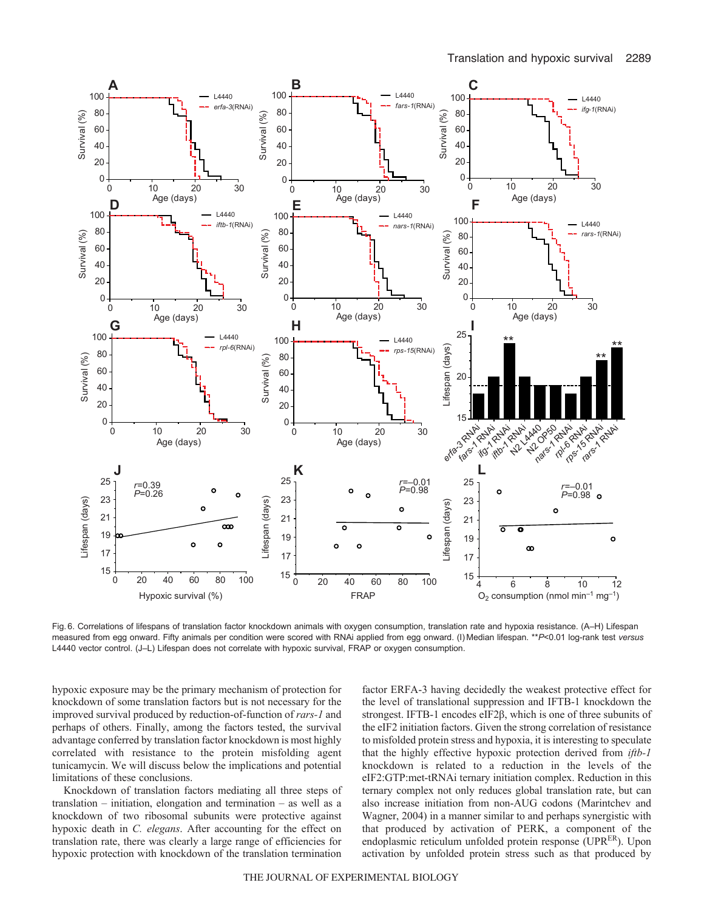

Fig. 6. Correlations of lifespans of translation factor knockdown animals with oxygen consumption, translation rate and hypoxia resistance. (A–H) Lifespan measured from egg onward. Fifty animals per condition were scored with RNAi applied from egg onward. (I) Median lifespan. \*\**P*<0.01 log-rank test *versus* L4440 vector control. (J–L) Lifespan does not correlate with hypoxic survival, FRAP or oxygen consumption.

hypoxic exposure may be the primary mechanism of protection for knockdown of some translation factors but is not necessary for the improved survival produced by reduction-of-function of *rars-1* and perhaps of others. Finally, among the factors tested, the survival advantage conferred by translation factor knockdown is most highly correlated with resistance to the protein misfolding agent tunicamycin. We will discuss below the implications and potential limitations of these conclusions.

Knockdown of translation factors mediating all three steps of translation – initiation, elongation and termination – as well as a knockdown of two ribosomal subunits were protective against hypoxic death in *C. elegans*. After accounting for the effect on translation rate, there was clearly a large range of efficiencies for hypoxic protection with knockdown of the translation termination

factor ERFA-3 having decidedly the weakest protective effect for the level of translational suppression and IFTB-1 knockdown the strongest. IFTB-1 encodes eIF2β, which is one of three subunits of the eIF2 initiation factors. Given the strong correlation of resistance to misfolded protein stress and hypoxia, it is interesting to speculate that the highly effective hypoxic protection derived from *iftb-1* knockdown is related to a reduction in the levels of the eIF2:GTP:met-tRNAi ternary initiation complex. Reduction in this ternary complex not only reduces global translation rate, but can also increase initiation from non-AUG codons (Marintchev and Wagner, 2004) in a manner similar to and perhaps synergistic with that produced by activation of PERK, a component of the endoplasmic reticulum unfolded protein response ( $UPR<sup>ER</sup>$ ). Upon activation by unfolded protein stress such as that produced by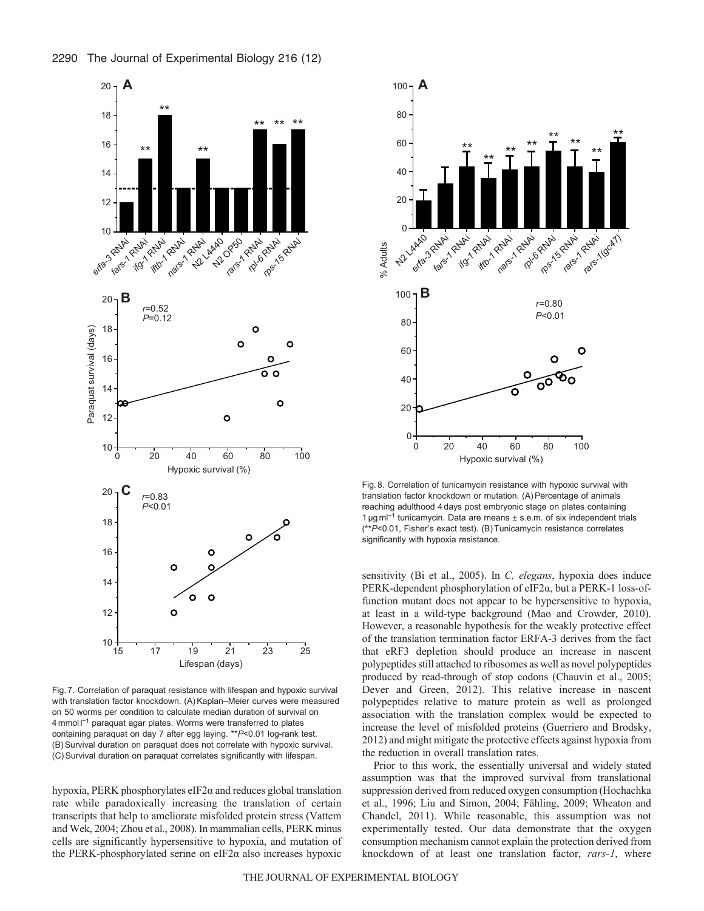



Fig. 7. Correlation of paraquat resistance with lifespan and hypoxic survival with translation factor knockdown. (A) Kaplan–Meier curves were measured on 50 worms per condition to calculate median duration of survival on 4 mmol l<sup>-1</sup> paraquat agar plates. Worms were transferred to plates containing paraquat on day 7 after egg laying. \*\**P*<0.01 log-rank test. (B)Survival duration on paraquat does not correlate with hypoxic survival. (C)Survival duration on paraquat correlates significantly with lifespan.

hypoxia, PERK phosphorylates eIF2α and reduces global translation rate while paradoxically increasing the translation of certain transcripts that help to ameliorate misfolded protein stress (Vattem and Wek, 2004; Zhou et al., 2008). In mammalian cells, PERK minus cells are significantly hypersensitive to hypoxia, and mutation of the PERK-phosphorylated serine on eIF2 $\alpha$  also increases hypoxic



Fig. 8. Correlation of tunicamycin resistance with hypoxic survival with translation factor knockdown or mutation. (A)Percentage of animals reaching adulthood 4 days post embryonic stage on plates containing 1 μg ml<sup>−</sup><sup>1</sup> tunicamycin. Data are means ± s.e.m. of six independent trials (\*\**P*<0.01, Fisher's exact test). (B)Tunicamycin resistance correlates significantly with hypoxia resistance.

sensitivity (Bi et al., 2005). In *C. elegans*, hypoxia does induce PERK-dependent phosphorylation of eIF2α, but a PERK-1 loss-offunction mutant does not appear to be hypersensitive to hypoxia, at least in a wild-type background (Mao and Crowder, 2010). However, a reasonable hypothesis for the weakly protective effect of the translation termination factor ERFA-3 derives from the fact that eRF3 depletion should produce an increase in nascent polypeptides still attached to ribosomes as well as novel polypeptides produced by read-through of stop codons (Chauvin et al., 2005; Dever and Green, 2012). This relative increase in nascent polypeptides relative to mature protein as well as prolonged association with the translation complex would be expected to increase the level of misfolded proteins (Guerriero and Brodsky, 2012) and might mitigate the protective effects against hypoxia from the reduction in overall translation rates.

Prior to this work, the essentially universal and widely stated assumption was that the improved survival from translational suppression derived from reduced oxygen consumption (Hochachka et al., 1996; Liu and Simon, 2004; Fähling, 2009; Wheaton and Chandel, 2011). While reasonable, this assumption was not experimentally tested. Our data demonstrate that the oxygen consumption mechanism cannot explain the protection derived from knockdown of at least one translation factor, *rars-1*, where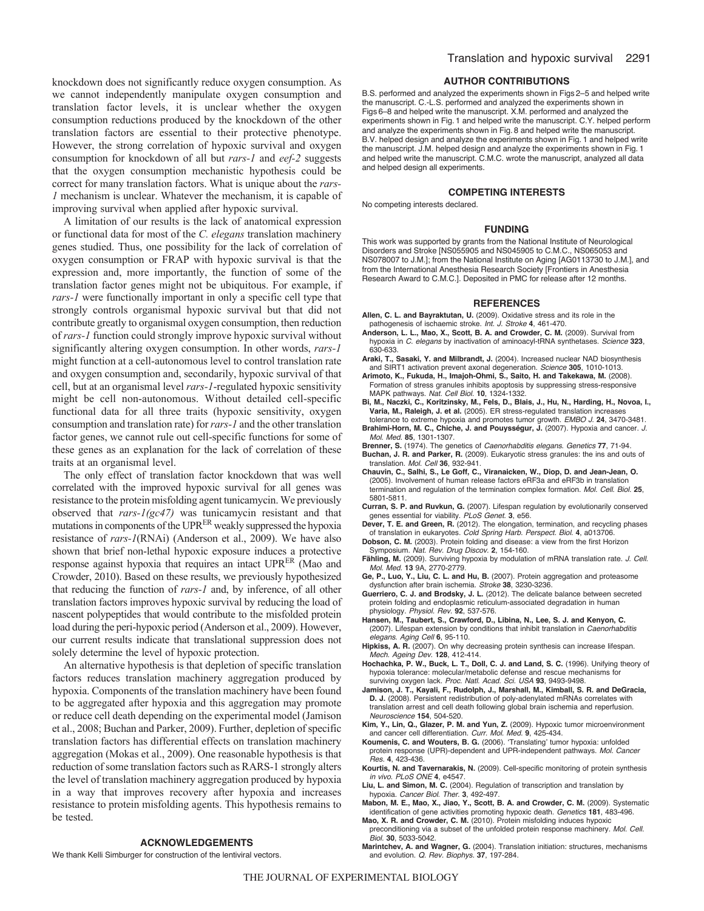knockdown does not significantly reduce oxygen consumption. As we cannot independently manipulate oxygen consumption and translation factor levels, it is unclear whether the oxygen consumption reductions produced by the knockdown of the other translation factors are essential to their protective phenotype. However, the strong correlation of hypoxic survival and oxygen consumption for knockdown of all but *rars-1* and *eef-2* suggests that the oxygen consumption mechanistic hypothesis could be correct for many translation factors. What is unique about the *rars-1* mechanism is unclear. Whatever the mechanism, it is capable of improving survival when applied after hypoxic survival.

A limitation of our results is the lack of anatomical expression or functional data for most of the *C. elegans* translation machinery genes studied. Thus, one possibility for the lack of correlation of oxygen consumption or FRAP with hypoxic survival is that the expression and, more importantly, the function of some of the translation factor genes might not be ubiquitous. For example, if *rars-1* were functionally important in only a specific cell type that strongly controls organismal hypoxic survival but that did not contribute greatly to organismal oxygen consumption, then reduction of *rars-1* function could strongly improve hypoxic survival without significantly altering oxygen consumption. In other words, *rars-1* might function at a cell-autonomous level to control translation rate and oxygen consumption and, secondarily, hypoxic survival of that cell, but at an organismal level *rars-1*-regulated hypoxic sensitivity might be cell non-autonomous. Without detailed cell-specific functional data for all three traits (hypoxic sensitivity, oxygen consumption and translation rate) for *rars-1* and the other translation factor genes, we cannot rule out cell-specific functions for some of these genes as an explanation for the lack of correlation of these traits at an organismal level.

The only effect of translation factor knockdown that was well correlated with the improved hypoxic survival for all genes was resistance to the protein misfolding agent tunicamycin. We previously observed that *rars-1(gc47)* was tunicamycin resistant and that mutations in components of the UPR<sup>ER</sup> weakly suppressed the hypoxia resistance of *rars-1*(RNAi) (Anderson et al., 2009). We have also shown that brief non-lethal hypoxic exposure induces a protective response against hypoxia that requires an intact UPR<sup>ER</sup> (Mao and Crowder, 2010). Based on these results, we previously hypothesized that reducing the function of *rars-1* and, by inference, of all other translation factors improves hypoxic survival by reducing the load of nascent polypeptides that would contribute to the misfolded protein load during the peri-hypoxic period (Anderson et al., 2009). However, our current results indicate that translational suppression does not solely determine the level of hypoxic protection.

An alternative hypothesis is that depletion of specific translation factors reduces translation machinery aggregation produced by hypoxia. Components of the translation machinery have been found to be aggregated after hypoxia and this aggregation may promote or reduce cell death depending on the experimental model (Jamison et al., 2008; Buchan and Parker, 2009). Further, depletion of specific translation factors has differential effects on translation machinery aggregation (Mokas et al., 2009). One reasonable hypothesis is that reduction of some translation factors such as RARS-1 strongly alters the level of translation machinery aggregation produced by hypoxia in a way that improves recovery after hypoxia and increases resistance to protein misfolding agents. This hypothesis remains to be tested.

B.S. performed and analyzed the experiments shown in Figs 2–5 and helped write the manuscript. C.-L.S. performed and analyzed the experiments shown in Figs 6–8 and helped write the manuscript. X.M. performed and analyzed the experiments shown in Fig. 1 and helped write the manuscript. C.Y. helped perform and analyze the experiments shown in Fig. 8 and helped write the manuscript. B.V. helped design and analyze the experiments shown in Fig. 1 and helped write the manuscript. J.M. helped design and analyze the experiments shown in Fig. 1 and helped write the manuscript. C.M.C. wrote the manuscript, analyzed all data and helped design all experiments.

#### **COMPETING INTERESTS**

No competing interests declared.

#### **FUNDING**

This work was supported by grants from the National Institute of Neurological Disorders and Stroke [NS055905 and NS045905 to C.M.C., NS065053 and NS078007 to J.M.]; from the National Institute on Aging [AG0113730 to J.M.], and from the International Anesthesia Research Society [Frontiers in Anesthesia Research Award to C.M.C.]. Deposited in PMC for release after 12 months.

#### **REFERENCES**

- **Allen, C. L. and Bayraktutan, U.** (2009). Oxidative stress and its role in the pathogenesis of ischaemic stroke. *Int. J. Stroke* **4**, 461-470.
- **Anderson, L. L., Mao, X., Scott, B. A. and Crowder, C. M.** (2009). Survival from hypoxia in *C. elegans* by inactivation of aminoacyl-tRNA synthetases. *Science* **323**, 630-633.
- **Araki, T., Sasaki, Y. and Milbrandt, J.** (2004). Increased nuclear NAD biosynthesis and SIRT1 activation prevent axonal degeneration. *Science* **305**, 1010-1013.
- **Arimoto, K., Fukuda, H., Imajoh-Ohmi, S., Saito, H. and Takekawa, M.** (2008). Formation of stress granules inhibits apoptosis by suppressing stress-responsive MAPK pathways. *Nat. Cell Biol.* **10**, 1324-1332.
- **Bi, M., Naczki, C., Koritzinsky, M., Fels, D., Blais, J., Hu, N., Harding, H., Novoa, I., Varia, M., Raleigh, J. et al.** (2005). ER stress-regulated translation increases tolerance to extreme hypoxia and promotes tumor growth. *EMBO J.* **24**, 3470-3481.
- **Brahimi-Horn, M. C., Chiche, J. and Pouysségur, J.** (2007). Hypoxia and cancer. *J. Mol. Med.* **85**, 1301-1307.
- **Brenner, S.** (1974). The genetics of *Caenorhabditis elegans*. *Genetics* **77**, 71-94. **Buchan, J. R. and Parker, R.** (2009). Eukaryotic stress granules: the ins and outs of
- translation. *Mol. Cell* **36**, 932-941. **Chauvin, C., Salhi, S., Le Goff, C., Viranaicken, W., Diop, D. and Jean-Jean, O.**
- (2005). Involvement of human release factors eRF3a and eRF3b in translation termination and regulation of the termination complex formation. *Mol. Cell. Biol.* **25**, 5801-5811.
- **Curran, S. P. and Ruvkun, G.** (2007). Lifespan regulation by evolutionarily conserved genes essential for viability. *PLoS Genet.* **3**, e56.
- **Dever, T. E. and Green, R.** (2012). The elongation, termination, and recycling phases of translation in eukaryotes. *Cold Spring Harb. Perspect. Biol.* **4**, a013706.
- **Dobson, C. M.** (2003). Protein folding and disease: a view from the first Horizon Symposium. *Nat. Rev. Drug Discov.* **2**, 154-160.
- **Fähling, M.** (2009). Surviving hypoxia by modulation of mRNA translation rate. *J. Cell. Mol. Med.* **13** 9A, 2770-2779.
- **Ge, P., Luo, Y., Liu, C. L. and Hu, B.** (2007). Protein aggregation and proteasome dysfunction after brain ischemia. *Stroke* **38**, 3230-3236.
- **Guerriero, C. J. and Brodsky, J. L.** (2012). The delicate balance between secreted protein folding and endoplasmic reticulum-associated degradation in human physiology. *Physiol. Rev.* **92**, 537-576.
- **Hansen, M., Taubert, S., Crawford, D., Libina, N., Lee, S. J. and Kenyon, C.** (2007). Lifespan extension by conditions that inhibit translation in *Caenorhabditis elegans*. *Aging Cell* **6**, 95-110.
- **Hipkiss, A. R.** (2007). On why decreasing protein synthesis can increase lifespan. *Mech. Ageing Dev.* **128**, 412-414.
- **Hochachka, P. W., Buck, L. T., Doll, C. J. and Land, S. C.** (1996). Unifying theory of hypoxia tolerance: molecular/metabolic defense and rescue mechanisms for surviving oxygen lack. *Proc. Natl. Acad. Sci. USA* **93**, 9493-9498.
- **Jamison, J. T., Kayali, F., Rudolph, J., Marshall, M., Kimball, S. R. and DeGracia, D. J.** (2008). Persistent redistribution of poly-adenylated mRNAs correlates with translation arrest and cell death following global brain ischemia and reperfusion. *Neuroscience* **154**, 504-520.
- **Kim, Y., Lin, Q., Glazer, P. M. and Yun, Z.** (2009). Hypoxic tumor microenvironment and cancer cell differentiation. *Curr. Mol. Med.* **9**, 425-434.
- **Koumenis, C. and Wouters, B. G.** (2006). ʻTranslating' tumor hypoxia: unfolded protein response (UPR)-dependent and UPR-independent pathways. *Mol. Cancer Res.* **4**, 423-436.
- **Kourtis, N. and Tavernarakis, N.** (2009). Cell-specific monitoring of protein synthesis *in vivo*. *PLoS ONE* **4**, e4547.
- **Liu, L. and Simon, M. C.** (2004). Regulation of transcription and translation by hypoxia. *Cancer Biol. Ther.* **3**, 492-497.
- **Mabon, M. E., Mao, X., Jiao, Y., Scott, B. A. and Crowder, C. M.** (2009). Systematic identification of gene activities promoting hypoxic death. *Genetics* **181**, 483-496. **Mao, X. R. and Crowder, C. M.** (2010). Protein misfolding induces hypoxic
- preconditioning via a subset of the unfolded protein response machinery. *Mol. Cell. Biol.* **30**, 5033-5042.
- **Marintchev, A. and Wagner, G.** (2004). Translation initiation: structures, mechanisms and evolution. *Q. Rev. Biophys.* **37**, 197-284.

#### **ACKNOWLEDGEMENTS**

We thank Kelli Simburger for construction of the lentiviral vectors.

THE JOURNAL OF EXPERIMENTAL BIOLOGY